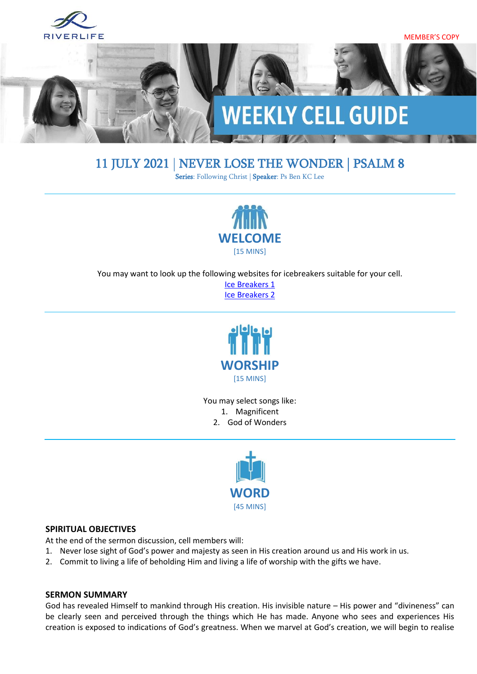

# 11 JULY 2021 | NEVER LOSE THE WONDER | [PSALM 8](https://www.biblegateway.com/passage/?search=psalm+8&version=ESV)

Series: Following Christ | Speaker: Ps Ben KC Lee



You may want to look up the following websites for icebreakers suitable for your cell.

[Ice Breakers 1](http://www.thesource4ym.com/games/) [Ice Breakers 2](http://www.christianitytoday.com/smallgroups/articles/icebreakersbeyond.html)



You may select songs like: 1. Magnificent 2. God of Wonders



#### **SPIRITUAL OBJECTIVES**

At the end of the sermon discussion, cell members will:

- 1. Never lose sight of God's power and majesty as seen in His creation around us and His work in us.
- 2. Commit to living a life of beholding Him and living a life of worship with the gifts we have.

#### **SERMON SUMMARY**

God has revealed Himself to mankind through His creation. His invisible nature – His power and "divineness" can be clearly seen and perceived through the things which He has made. Anyone who sees and experiences His creation is exposed to indications of God's greatness. When we marvel at God's creation, we will begin to realise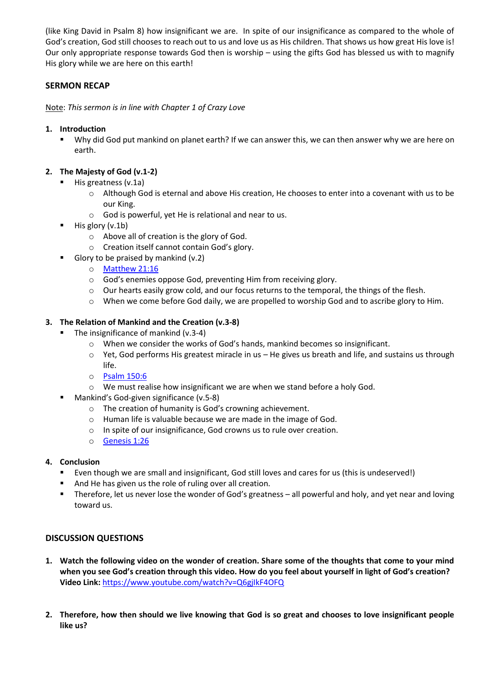(like King David in Psalm 8) how insignificant we are. In spite of our insignificance as compared to the whole of God's creation, God still chooses to reach out to us and love us as His children. That shows us how great His love is! Our only appropriate response towards God then is worship – using the gifts God has blessed us with to magnify His glory while we are here on this earth!

# **SERMON RECAP**

Note: *This sermon is in line with Chapter 1 of Crazy Love*

#### **1. Introduction**

Why did God put mankind on planet earth? If we can answer this, we can then answer why we are here on earth.

# **2. The Majesty of God (v.1-2)**

- His greatness (v.1a)
	- o Although God is eternal and above His creation, He chooses to enter into a covenant with us to be our King.
	- o God is powerful, yet He is relational and near to us.
- $\blacksquare$  His glory (v.1b)
	- o Above all of creation is the glory of God.
	- o Creation itself cannot contain God's glory.
- Glory to be praised by mankind  $(v.2)$ 
	- o [Matthew 21:16](https://www.biblegateway.com/passage/?search=Matthew+21%3A16&version=ESV)
	- o God's enemies oppose God, preventing Him from receiving glory.
	- o Our hearts easily grow cold, and our focus returns to the temporal, the things of the flesh.
	- o When we come before God daily, we are propelled to worship God and to ascribe glory to Him.

# **3. The Relation of Mankind and the Creation (v.3-8)**

- The insignificance of mankind (v.3-4)
	- o When we consider the works of God's hands, mankind becomes so insignificant.
	- $\circ$  Yet, God performs His greatest miracle in us He gives us breath and life, and sustains us through life.
	- o [Psalm 150:6](https://www.biblegateway.com/passage/?search=Psalm+150%3A6+&version=ESV)
	- o We must realise how insignificant we are when we stand before a holy God.
- Mankind's God-given significance (v.5-8)
	- o The creation of humanity is God's crowning achievement.
	- o Human life is valuable because we are made in the image of God.
	- o In spite of our insignificance, God crowns us to rule over creation.
	- o [Genesis 1:26](https://www.biblegateway.com/passage/?search=Genesis+1%3A26&version=ESV)

# **4. Conclusion**

- Even though we are small and insignificant, God still loves and cares for us (this is undeserved!)
- And He has given us the role of ruling over all creation.
- Therefore, let us never lose the wonder of God's greatness all powerful and holy, and yet near and loving toward us.

# **DISCUSSION QUESTIONS**

- **1. Watch the following video on the wonder of creation. Share some of the thoughts that come to your mind when you see God's creation through this video. How do you feel about yourself in light of God's creation? Video Link:** <https://www.youtube.com/watch?v=Q6gjIkF4OFQ>
- **2. Therefore, how then should we live knowing that God is so great and chooses to love insignificant people like us?**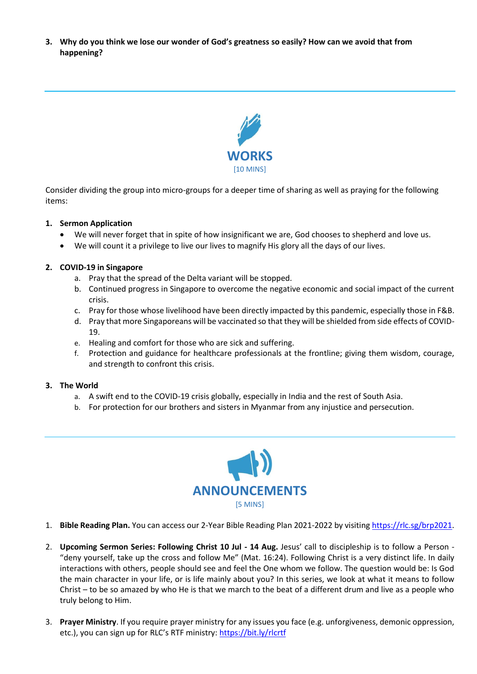**3. Why do you think we lose our wonder of God's greatness so easily? How can we avoid that from happening?**



Consider dividing the group into micro-groups for a deeper time of sharing as well as praying for the following items:

#### **1. Sermon Application**

- We will never forget that in spite of how insignificant we are, God chooses to shepherd and love us.
- We will count it a privilege to live our lives to magnify His glory all the days of our lives.

#### **2. COVID-19 in Singapore**

- a. Pray that the spread of the Delta variant will be stopped.
- b. Continued progress in Singapore to overcome the negative economic and social impact of the current crisis.
- c. Pray for those whose livelihood have been directly impacted by this pandemic, especially those in F&B.
- d. Pray that more Singaporeans will be vaccinated so that they will be shielded from side effects of COVID-19.
- e. Healing and comfort for those who are sick and suffering.
- f. Protection and guidance for healthcare professionals at the frontline; giving them wisdom, courage, and strength to confront this crisis.

#### **3. The World**

- a. A swift end to the COVID-19 crisis globally, especially in India and the rest of South Asia.
- b. For protection for our brothers and sisters in Myanmar from any injustice and persecution.



- 1. **Bible Reading Plan.** You can access our 2-Year Bible Reading Plan 2021-2022 by visiting [https://rlc.sg/brp2021.](https://rlc.sg/brp2021)
- 2. **Upcoming Sermon Series: Following Christ 10 Jul - 14 Aug.** Jesus' call to discipleship is to follow a Person "deny yourself, take up the cross and follow Me" (Mat. 16:24). Following Christ is a very distinct life. In daily interactions with others, people should see and feel the One whom we follow. The question would be: Is God the main character in your life, or is life mainly about you? In this series, we look at what it means to follow Christ – to be so amazed by who He is that we march to the beat of a different drum and live as a people who truly belong to Him.
- 3. **Prayer Ministry**. If you require prayer ministry for any issues you face (e.g. unforgiveness, demonic oppression, etc.), you can sign up for RLC's RTF ministry: <https://bit.ly/rlcrtf>